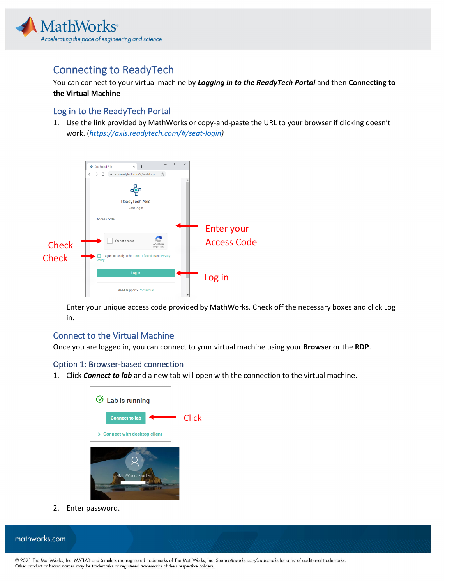

# Connecting to ReadyTech

You can connect to your virtual machine by *Logging in to the ReadyTech Portal* and then **Connecting to the Virtual Machine**

### Log in to the ReadyTech Portal

1. Use the link provided by MathWorks or copy-and-paste the URL to your browser if clicking doesn't work. (*[https://axis.readytech.com/#/seat-login\)](https://axis.readytech.com/#/seat-login)*



Enter your unique access code provided by MathWorks. Check off the necessary boxes and click Log in.

## Connect to the Virtual Machine

Once you are logged in, you can connect to your virtual machine using your **Browser** or the **RDP**.

#### Option 1: Browser-based connection

1. Click *Connect to lab* and a new tab will open with the connection to the virtual machine.



2. Enter password.

mathworks.com

© 2021 The MathWorks, Inc. MATLAB and Simulink are registered trademarks of The MathWorks, Inc. See *mathworks.com/trademarks* for a list of additional trademarks. Other product or brand names may be trademarks or registered trademarks of their respective holders.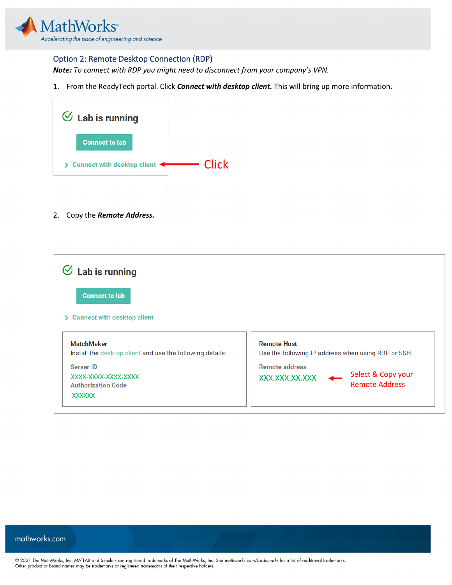

#### Option 2: Remote Desktop Connection (RDP)

*Note: To connect with RDP you might need to disconnect from your company's VPN.* 

1. From the ReadyTech portal. Click *Connect with desktop client.* This will bring up more information.



2. Copy the *Remote Address.*

| $\heartsuit$ Lab is running                                                    |                                                                           |
|--------------------------------------------------------------------------------|---------------------------------------------------------------------------|
| <b>Connect to lab</b>                                                          |                                                                           |
| > Connect with desktop client                                                  |                                                                           |
| <b>MatchMaker</b><br>Install the desktop client and use the following details: | <b>Remote Host</b><br>Use the following IP address when using RDP or SSH: |